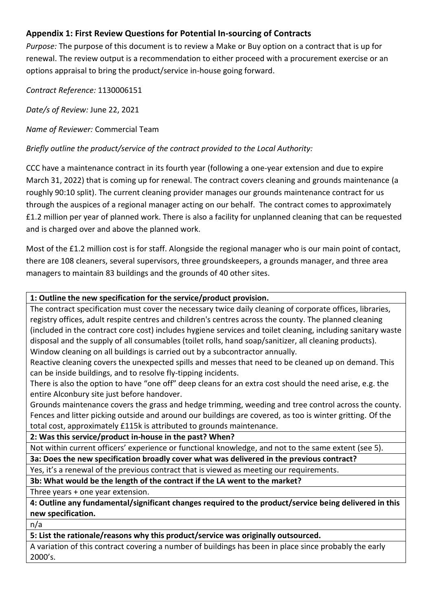# **Appendix 1: First Review Questions for Potential In-sourcing of Contracts**

*Purpose:* The purpose of this document is to review a Make or Buy option on a contract that is up for renewal. The review output is a recommendation to either proceed with a procurement exercise or an options appraisal to bring the product/service in-house going forward.

*Contract Reference:* 1130006151

*Date/s of Review:* June 22, 2021

*Name of Reviewer:* Commercial Team

*Briefly outline the product/service of the contract provided to the Local Authority:*

CCC have a maintenance contract in its fourth year (following a one-year extension and due to expire March 31, 2022) that is coming up for renewal. The contract covers cleaning and grounds maintenance (a roughly 90:10 split). The current cleaning provider manages our grounds maintenance contract for us through the auspices of a regional manager acting on our behalf. The contract comes to approximately £1.2 million per year of planned work. There is also a facility for unplanned cleaning that can be requested and is charged over and above the planned work.

Most of the £1.2 million cost is for staff. Alongside the regional manager who is our main point of contact, there are 108 cleaners, several supervisors, three groundskeepers, a grounds manager, and three area managers to maintain 83 buildings and the grounds of 40 other sites.

### **1: Outline the new specification for the service/product provision.**

The contract specification must cover the necessary twice daily cleaning of corporate offices, libraries, registry offices, adult respite centres and children's centres across the county. The planned cleaning (included in the contract core cost) includes hygiene services and toilet cleaning, including sanitary waste disposal and the supply of all consumables (toilet rolls, hand soap/sanitizer, all cleaning products). Window cleaning on all buildings is carried out by a subcontractor annually.

Reactive cleaning covers the unexpected spills and messes that need to be cleaned up on demand. This can be inside buildings, and to resolve fly-tipping incidents.

There is also the option to have "one off" deep cleans for an extra cost should the need arise, e.g. the entire Alconbury site just before handover.

Grounds maintenance covers the grass and hedge trimming, weeding and tree control across the county. Fences and litter picking outside and around our buildings are covered, as too is winter gritting. Of the total cost, approximately £115k is attributed to grounds maintenance.

**2: Was this service/product in-house in the past? When?**

Not within current officers' experience or functional knowledge, and not to the same extent (see 5).

**3a: Does the new specification broadly cover what was delivered in the previous contract?**

Yes, it's a renewal of the previous contract that is viewed as meeting our requirements.

**3b: What would be the length of the contract if the LA went to the market?**

Three years + one year extension.

**4: Outline any fundamental/significant changes required to the product/service being delivered in this new specification.**

n/a

**5: List the rationale/reasons why this product/service was originally outsourced.**

A variation of this contract covering a number of buildings has been in place since probably the early 2000's.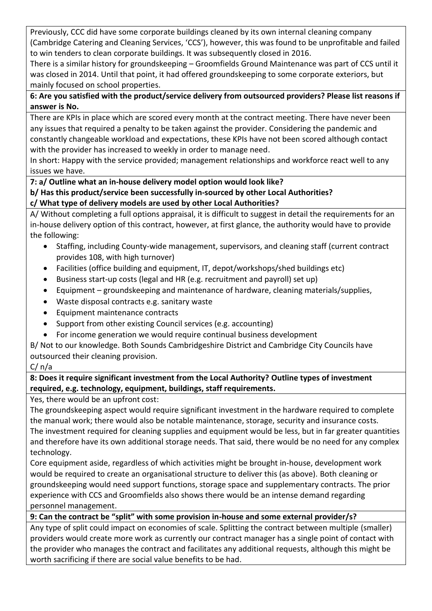Previously, CCC did have some corporate buildings cleaned by its own internal cleaning company (Cambridge Catering and Cleaning Services, 'CCS'), however, this was found to be unprofitable and failed to win tenders to clean corporate buildings. It was subsequently closed in 2016.

There is a similar history for groundskeeping – Groomfields Ground Maintenance was part of CCS until it was closed in 2014. Until that point, it had offered groundskeeping to some corporate exteriors, but mainly focused on school properties.

**6: Are you satisfied with the product/service delivery from outsourced providers? Please list reasons if answer is No.**

There are KPIs in place which are scored every month at the contract meeting. There have never been any issues that required a penalty to be taken against the provider. Considering the pandemic and constantly changeable workload and expectations, these KPIs have not been scored although contact with the provider has increased to weekly in order to manage need.

In short: Happy with the service provided; management relationships and workforce react well to any issues we have.

**7: a/ Outline what an in-house delivery model option would look like?**

### **b/ Has this product/service been successfully in-sourced by other Local Authorities?**

## **c/ What type of delivery models are used by other Local Authorities?**

A/ Without completing a full options appraisal, it is difficult to suggest in detail the requirements for an in-house delivery option of this contract, however, at first glance, the authority would have to provide the following:

- Staffing, including County-wide management, supervisors, and cleaning staff (current contract provides 108, with high turnover)
- Facilities (office building and equipment, IT, depot/workshops/shed buildings etc)
- Business start-up costs (legal and HR (e.g. recruitment and payroll) set up)
- Equipment groundskeeping and maintenance of hardware, cleaning materials/supplies,
- Waste disposal contracts e.g. sanitary waste
- Equipment maintenance contracts
- Support from other existing Council services (e.g. accounting)
- For income generation we would require continual business development

B/ Not to our knowledge. Both Sounds Cambridgeshire District and Cambridge City Councils have outsourced their cleaning provision.

## $C/ n/a$

### **8: Does it require significant investment from the Local Authority? Outline types of investment required, e.g. technology, equipment, buildings, staff requirements.**

Yes, there would be an upfront cost:

The groundskeeping aspect would require significant investment in the hardware required to complete the manual work; there would also be notable maintenance, storage, security and insurance costs. The investment required for cleaning supplies and equipment would be less, but in far greater quantities and therefore have its own additional storage needs. That said, there would be no need for any complex technology.

Core equipment aside, regardless of which activities might be brought in-house, development work would be required to create an organisational structure to deliver this (as above). Both cleaning or groundskeeping would need support functions, storage space and supplementary contracts. The prior experience with CCS and Groomfields also shows there would be an intense demand regarding personnel management.

## **9: Can the contract be "split" with some provision in-house and some external provider/s?**

Any type of split could impact on economies of scale. Splitting the contract between multiple (smaller) providers would create more work as currently our contract manager has a single point of contact with the provider who manages the contract and facilitates any additional requests, although this might be worth sacrificing if there are social value benefits to be had.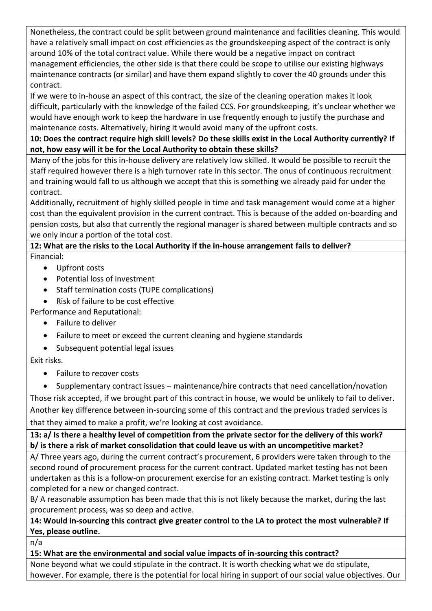Nonetheless, the contract could be split between ground maintenance and facilities cleaning. This would have a relatively small impact on cost efficiencies as the groundskeeping aspect of the contract is only around 10% of the total contract value. While there would be a negative impact on contract management efficiencies, the other side is that there could be scope to utilise our existing highways maintenance contracts (or similar) and have them expand slightly to cover the 40 grounds under this contract.

If we were to in-house an aspect of this contract, the size of the cleaning operation makes it look difficult, particularly with the knowledge of the failed CCS. For groundskeeping, it's unclear whether we would have enough work to keep the hardware in use frequently enough to justify the purchase and maintenance costs. Alternatively, hiring it would avoid many of the upfront costs.

**10: Does the contract require high skill levels? Do these skills exist in the Local Authority currently? If not, how easy will it be for the Local Authority to obtain these skills?**

Many of the jobs for this in-house delivery are relatively low skilled. It would be possible to recruit the staff required however there is a high turnover rate in this sector. The onus of continuous recruitment and training would fall to us although we accept that this is something we already paid for under the contract.

Additionally, recruitment of highly skilled people in time and task management would come at a higher cost than the equivalent provision in the current contract. This is because of the added on-boarding and pension costs, but also that currently the regional manager is shared between multiple contracts and so we only incur a portion of the total cost.

# **12: What are the risks to the Local Authority if the in-house arrangement fails to deliver?**

Financial:

- Upfront costs
- Potential loss of investment
- Staff termination costs (TUPE complications)
- Risk of failure to be cost effective

Performance and Reputational:

- Failure to deliver
- Failure to meet or exceed the current cleaning and hygiene standards
- Subsequent potential legal issues

Exit risks.

- Failure to recover costs
- Supplementary contract issues maintenance/hire contracts that need cancellation/novation

Those risk accepted, if we brought part of this contract in house, we would be unlikely to fail to deliver. Another key difference between in-sourcing some of this contract and the previous traded services is that they aimed to make a profit, we're looking at cost avoidance.

**13: a/ Is there a healthy level of competition from the private sector for the delivery of this work? b/ is there a risk of market consolidation that could leave us with an uncompetitive market?**

A/ Three years ago, during the current contract's procurement, 6 providers were taken through to the second round of procurement process for the current contract. Updated market testing has not been undertaken as this is a follow-on procurement exercise for an existing contract. Market testing is only completed for a new or changed contract.

B/ A reasonable assumption has been made that this is not likely because the market, during the last procurement process, was so deep and active.

# **14: Would in-sourcing this contract give greater control to the LA to protect the most vulnerable? If Yes, please outline.**

n/a

# **15: What are the environmental and social value impacts of in-sourcing this contract?**

None beyond what we could stipulate in the contract. It is worth checking what we do stipulate, however. For example, there is the potential for local hiring in support of our social value objectives. Our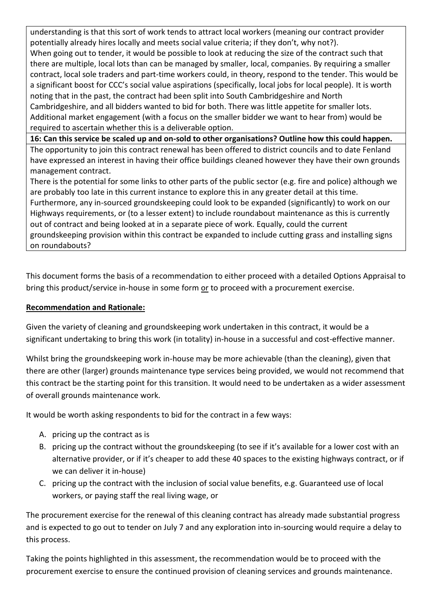understanding is that this sort of work tends to attract local workers (meaning our contract provider potentially already hires locally and meets social value criteria; if they don't, why not?). When going out to tender, it would be possible to look at reducing the size of the contract such that there are multiple, local lots than can be managed by smaller, local, companies. By requiring a smaller contract, local sole traders and part-time workers could, in theory, respond to the tender. This would be a significant boost for CCC's social value aspirations (specifically, local jobs for local people). It is worth noting that in the past, the contract had been split into South Cambridgeshire and North Cambridgeshire, and all bidders wanted to bid for both. There was little appetite for smaller lots. Additional market engagement (with a focus on the smaller bidder we want to hear from) would be required to ascertain whether this is a deliverable option.

**16: Can this service be scaled up and on-sold to other organisations? Outline how this could happen.** The opportunity to join this contract renewal has been offered to district councils and to date Fenland have expressed an interest in having their office buildings cleaned however they have their own grounds management contract.

There is the potential for some links to other parts of the public sector (e.g. fire and police) although we are probably too late in this current instance to explore this in any greater detail at this time. Furthermore, any in-sourced groundskeeping could look to be expanded (significantly) to work on our Highways requirements, or (to a lesser extent) to include roundabout maintenance as this is currently out of contract and being looked at in a separate piece of work. Equally, could the current groundskeeping provision within this contract be expanded to include cutting grass and installing signs on roundabouts?

This document forms the basis of a recommendation to either proceed with a detailed Options Appraisal to bring this product/service in-house in some form or to proceed with a procurement exercise.

#### **Recommendation and Rationale:**

Given the variety of cleaning and groundskeeping work undertaken in this contract, it would be a significant undertaking to bring this work (in totality) in-house in a successful and cost-effective manner.

Whilst bring the groundskeeping work in-house may be more achievable (than the cleaning), given that there are other (larger) grounds maintenance type services being provided, we would not recommend that this contract be the starting point for this transition. It would need to be undertaken as a wider assessment of overall grounds maintenance work.

It would be worth asking respondents to bid for the contract in a few ways:

- A. pricing up the contract as is
- B. pricing up the contract without the groundskeeping (to see if it's available for a lower cost with an alternative provider, or if it's cheaper to add these 40 spaces to the existing highways contract, or if we can deliver it in-house)
- C. pricing up the contract with the inclusion of social value benefits, e.g. Guaranteed use of local workers, or paying staff the real living wage, or

The procurement exercise for the renewal of this cleaning contract has already made substantial progress and is expected to go out to tender on July 7 and any exploration into in-sourcing would require a delay to this process.

Taking the points highlighted in this assessment, the recommendation would be to proceed with the procurement exercise to ensure the continued provision of cleaning services and grounds maintenance.